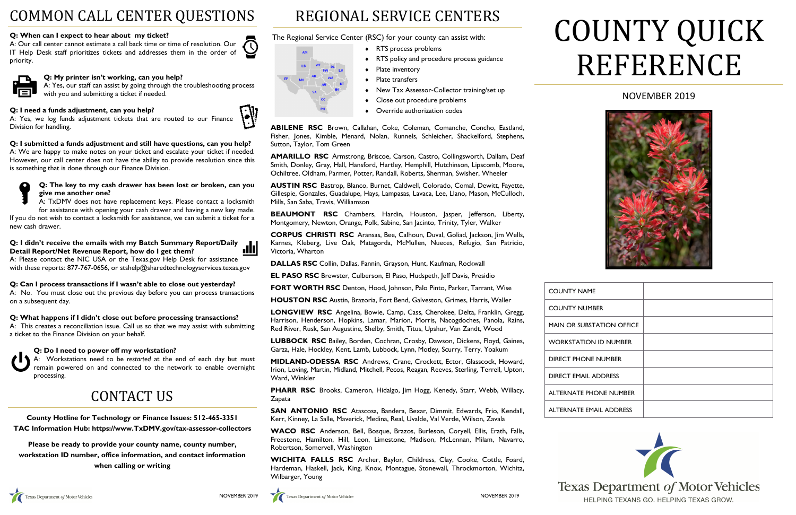# NOVEMBER 2019



| <b>COUNTY NAME</b>               |  |
|----------------------------------|--|
| <b>COUNTY NUMBER</b>             |  |
| <b>MAIN OR SUBSTATION OFFICE</b> |  |
| <b>WORKSTATION ID NUMBER</b>     |  |
| <b>DIRECT PHONE NUMBER</b>       |  |
| <b>DIRECT EMAIL ADDRESS</b>      |  |
| <b>ALTERNATE PHONE NUMBER</b>    |  |
| <b>ALTERNATE EMAIL ADDRESS</b>   |  |



HELPING TEXANS GO. HELPING TEXAS GROW.

# COUNTY QUICK REFERENCE

# REGIONAL SERVICE CENTERS

The Regional Service Center (RSC) for your county can assist with:

- ◆ RTS process problems
- RTS policy and procedure process guidance
- Plate inventory
- ◆ Plate transfers
- New Tax Assessor-Collector training/set up
- Close out procedure problems
- Override authorization codes

**ABILENE RSC** Brown, Callahan, Coke, Coleman, Comanche, Concho, Eastland, Fisher, Jones, Kimble, Menard, Nolan, Runnels, Schleicher, Shackelford, Stephens, Sutton, Taylor, Tom Green

**AMARILLO RSC** Armstrong, Briscoe, Carson, Castro, Collingsworth, Dallam, Deaf Smith, Donley, Gray, Hall, Hansford, Hartley, Hemphill, Hutchinson, Lipscomb, Moore, Ochiltree, Oldham, Parmer, Potter, Randall, Roberts, Sherman, Swisher, Wheeler

**AUSTIN RSC** Bastrop, Blanco, Burnet, Caldwell, Colorado, Comal, Dewitt, Fayette, Gillespie, Gonzales, Guadalupe, Hays, Lampasas, Lavaca, Lee, Llano, Mason, McCulloch, Mills, San Saba, Travis, Williamson

**BEAUMONT RSC** Chambers, Hardin, Houston, Jasper, Jefferson, Liberty, Montgomery, Newton, Orange, Polk, Sabine, San Jacinto, Trinity, Tyler, Walker

**CORPUS CHRISTI RSC** Aransas, Bee, Calhoun, Duval, Goliad, Jackson, Jim Wells, Karnes, Kleberg, Live Oak, Matagorda, McMullen, Nueces, Refugio, San Patricio, Victoria, Wharton

**DALLAS RSC** Collin, Dallas, Fannin, Grayson, Hunt, Kaufman, Rockwall

**EL PASO RSC** Brewster, Culberson, El Paso, Hudspeth, Jeff Davis, Presidio

**FORT WORTH RSC** Denton, Hood, Johnson, Palo Pinto, Parker, Tarrant, Wise

**HOUSTON RSC** Austin, Brazoria, Fort Bend, Galveston, Grimes, Harris, Waller

**LONGVIEW RSC** Angelina, Bowie, Camp, Cass, Cherokee, Delta, Franklin, Gregg, Harrison, Henderson, Hopkins, Lamar, Marion, Morris, Nacogdoches, Panola, Rains, Red River, Rusk, San Augustine, Shelby, Smith, Titus, Upshur, Van Zandt, Wood

**LUBBOCK RSC** Bailey, Borden, Cochran, Crosby, Dawson, Dickens, Floyd, Gaines, Garza, Hale, Hockley, Kent, Lamb, Lubbock, Lynn, Motley, Scurry, Terry, Yoakum

A: Please contact the NIC USA or the Texas.gov Help Desk for assistance with these reports: 877-767-0656, or stshelp@sharedtechnologyservices.texas.gov

> **MIDLAND-ODESSA RSC** Andrews, Crane, Crockett, Ector, Glasscock, Howard, Irion, Loving, Martin, Midland, Mitchell, Pecos, Reagan, Reeves, Sterling, Terrell, Upton, Ward, Winkler

**PHARR RSC** Brooks, Cameron, Hidalgo, Jim Hogg, Kenedy, Starr, Webb, Willacy, Zapata

**SAN ANTONIO RSC** Atascosa, Bandera, Bexar, Dimmit, Edwards, Frio, Kendall, Kerr, Kinney, La Salle, Maverick, Medina, Real, Uvalde, Val Verde, Wilson, Zavala

**WACO RSC** Anderson, Bell, Bosque, Brazos, Burleson, Coryell, Ellis, Erath, Falls, Freestone, Hamilton, Hill, Leon, Limestone, Madison, McLennan, Milam, Navarro, Robertson, Somervell, Washington

**WICHITA FALLS RSC** Archer, Baylor, Childress, Clay, Cooke, Cottle, Foard, Hardeman, Haskell, Jack, King, Knox, Montague, Stonewall, Throckmorton, Wichita, Wilbarger, Young



**ENT** 

# COMMON CALL CENTER QUESTIONS

# **Q: When can I expect to hear about my ticket?**

A: Our call center cannot estimate a call back time or time of resolution. Our  $\bigcirc$ IT Help Desk staff prioritizes tickets and addresses them in the order of priority.



# **Q: My printer isn't working, can you help?**

A: Yes, our staff can assist by going through the troubleshooting process with you and submitting a ticket if needed.

# **Q: I need a funds adjustment, can you help?**

A: Yes, we log funds adjustment tickets that are routed to our Finance Division for handling.

**Q: I submitted a funds adjustment and still have questions, can you help?** A: We are happy to make notes on your ticket and escalate your ticket if needed. However, our call center does not have the ability to provide resolution since this is something that is done through our Finance Division.



#### **Q: The key to my cash drawer has been lost or broken, can you give me another one?**

A: TxDMV does not have replacement keys. Please contact a locksmith for assistance with opening your cash drawer and having a new key made. If you do not wish to contact a locksmith for assistance, we can submit a ticket for a new cash drawer.

#### **Q: I didn't receive the emails with my Batch Summary Report/Daily**  JU **Detail Report/Net Revenue Report, how do I get them?**

# **Q: Can I process transactions if I wasn't able to close out yesterday?**

A: No. You must close out the previous day before you can process transactions on a subsequent day.

# **Q: What happens if I didn't close out before processing transactions?**

A: This creates a reconciliation issue. Call us so that we may assist with submitting a ticket to the Finance Division on your behalf.

# **Q: Do I need to power off my workstation?**

A: Workstations need to be *restarted* at the end of each day but must remain powered on and connected to the network to enable overnight processing.

# CONTACT US

**County Hotline for Technology or Finance Issues: 512-465-3351 TAC Information Hub: [https://www.TxDMV.gov/tax-assessor-collectors](https://www.txdmv.gov/tax-assessor-collectors)**

**[Please be ready to provide your county name, county number,](https://www.txdmv.gov/tax-assessor-collectors)  [workstation ID number, office information, and contact information](https://www.txdmv.gov/tax-assessor-collectors)  [when calling or writing](https://www.txdmv.gov/tax-assessor-collectors)**